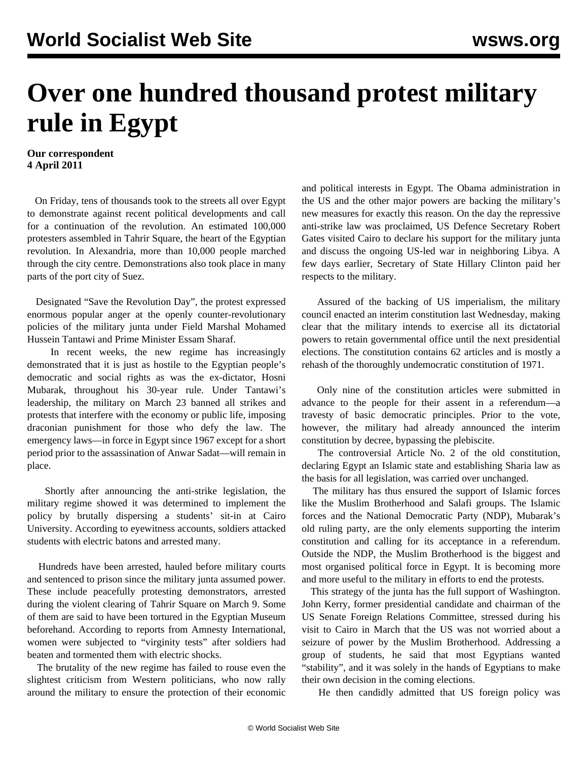## **Over one hundred thousand protest military rule in Egypt**

## **Our correspondent 4 April 2011**

 On Friday, tens of thousands took to the streets all over Egypt to demonstrate against recent political developments and call for a continuation of the revolution. An estimated 100,000 protesters assembled in Tahrir Square, the heart of the Egyptian revolution. In Alexandria, more than 10,000 people marched through the city centre. Demonstrations also took place in many parts of the port city of Suez.

 Designated "Save the Revolution Day", the protest expressed enormous popular anger at the openly counter-revolutionary policies of the military junta under Field Marshal Mohamed Hussein Tantawi and Prime Minister Essam Sharaf.

 In recent weeks, the new regime has increasingly demonstrated that it is just as hostile to the Egyptian people's democratic and social rights as was the ex-dictator, Hosni Mubarak, throughout his 30-year rule. Under Tantawi's leadership, the military on March 23 banned all strikes and protests that interfere with the economy or public life, imposing draconian punishment for those who defy the law. The emergency laws—in force in Egypt since 1967 except for a short period prior to the assassination of Anwar Sadat—will remain in place.

 Shortly after announcing the anti-strike legislation, the military regime showed it was determined to implement the policy by brutally dispersing a students' sit-in at Cairo University. According to eyewitness accounts, soldiers attacked students with electric batons and arrested many.

 Hundreds have been arrested, hauled before military courts and sentenced to prison since the military junta assumed power. These include peacefully protesting demonstrators, arrested during the violent clearing of Tahrir Square on March 9. Some of them are said to have been tortured in the Egyptian Museum beforehand. According to reports from Amnesty International, women were subjected to "virginity tests" after soldiers had beaten and tormented them with electric shocks.

 The brutality of the new regime has failed to rouse even the slightest criticism from Western politicians, who now rally around the military to ensure the protection of their economic and political interests in Egypt. The Obama administration in the US and the other major powers are backing the military's new measures for exactly this reason. On the day the repressive anti-strike law was proclaimed, US Defence Secretary Robert Gates visited Cairo to declare his support for the military junta and discuss the ongoing US-led war in neighboring Libya. A few days earlier, Secretary of State Hillary Clinton paid her respects to the military.

 Assured of the backing of US imperialism, the military council enacted an interim constitution last Wednesday, making clear that the military intends to exercise all its dictatorial powers to retain governmental office until the next presidential elections. The constitution contains 62 articles and is mostly a rehash of the thoroughly undemocratic constitution of 1971.

 Only nine of the constitution articles were submitted in advance to the people for their assent in a referendum—a travesty of basic democratic principles. Prior to the vote, however, the military had already announced the interim constitution by decree, bypassing the plebiscite.

 The controversial Article No. 2 of the old constitution, declaring Egypt an Islamic state and establishing Sharia law as the basis for all legislation, was carried over unchanged.

 The military has thus ensured the support of Islamic forces like the Muslim Brotherhood and Salafi groups. The Islamic forces and the National Democratic Party (NDP), Mubarak's old ruling party, are the only elements supporting the interim constitution and calling for its acceptance in a referendum. Outside the NDP, the Muslim Brotherhood is the biggest and most organised political force in Egypt. It is becoming more and more useful to the military in efforts to end the protests.

 This strategy of the junta has the full support of Washington. John Kerry, former presidential candidate and chairman of the US Senate Foreign Relations Committee, stressed during his visit to Cairo in March that the US was not worried about a seizure of power by the Muslim Brotherhood. Addressing a group of students, he said that most Egyptians wanted "stability", and it was solely in the hands of Egyptians to make their own decision in the coming elections.

He then candidly admitted that US foreign policy was